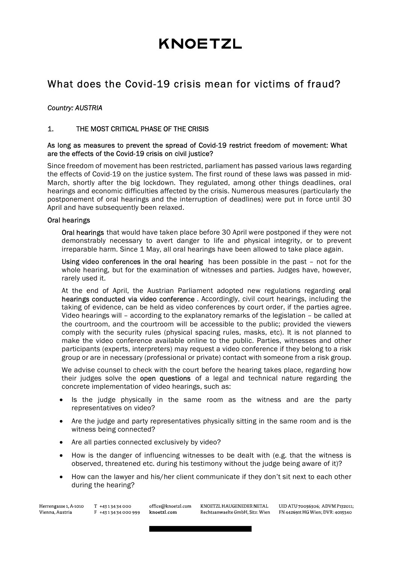# **KNOETZL**

# What does the Covid-19 crisis mean for victims of fraud?

#### Country: AUSTRIA

#### 1. THE MOST CRITICAL PHASE OF THE CRISIS

#### As long as measures to prevent the spread of Covid-19 restrict freedom of movement: What are the effects of the Covid-19 crisis on civil justice?

Since freedom of movement has been restricted, parliament has passed various laws regarding the effects of Covid-19 on the justice system. The first round of these laws was passed in mid-March, shortly after the big lockdown. They regulated, among other things deadlines, oral hearings and economic difficulties affected by the crisis. Numerous measures (particularly the postponement of oral hearings and the interruption of deadlines) were put in force until 30 April and have subsequently been relaxed.

#### Oral hearings

Oral hearings that would have taken place before 30 April were postponed if they were not demonstrably necessary to avert danger to life and physical integrity, or to prevent irreparable harm. Since 1 May, all oral hearings have been allowed to take place again.

Using video conferences in the oral hearing has been possible in the past – not for the whole hearing, but for the examination of witnesses and parties. Judges have, however, rarely used it.

At the end of April, the Austrian Parliament adopted new regulations regarding oral hearings conducted via video conference . Accordingly, civil court hearings, including the taking of evidence, can be held as video conferences by court order, if the parties agree. Video hearings will – according to the explanatory remarks of the legislation – be called at the courtroom, and the courtroom will be accessible to the public; provided the viewers comply with the security rules (physical spacing rules, masks, etc). It is not planned to make the video conference available online to the public. Parties, witnesses and other participants (experts, interpreters) may request a video conference if they belong to a risk group or are in necessary (professional or private) contact with someone from a risk group.

We advise counsel to check with the court before the hearing takes place, regarding how their judges solve the **open questions** of a legal and technical nature regarding the concrete implementation of video hearings, such as:

- Is the judge physically in the same room as the witness and are the party representatives on video?
- Are the judge and party representatives physically sitting in the same room and is the witness being connected?
- Are all parties connected exclusively by video?
- How is the danger of influencing witnesses to be dealt with (e.g. that the witness is observed, threatened etc. during his testimony without the judge being aware of it)?
- How can the lawyer and his/her client communicate if they don't sit next to each other during the hearing?

KNOETZL HAUGENEDER NETAL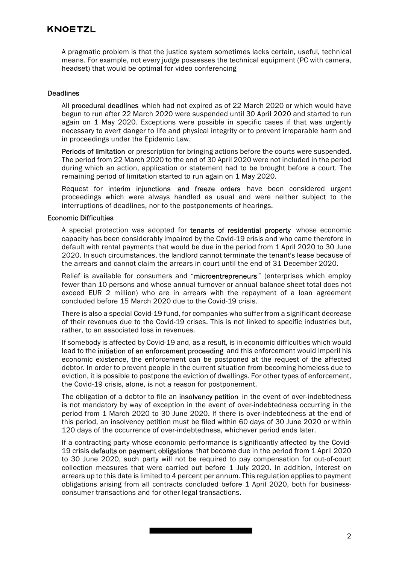## **KNOETZL**

A pragmatic problem is that the justice system sometimes lacks certain, useful, technical means. For example, not every judge possesses the technical equipment (PC with camera, headset) that would be optimal for video conferencing

#### Deadlines

All procedural deadlines which had not expired as of 22 March 2020 or which would have begun to run after 22 March 2020 were suspended until 30 April 2020 and started to run again on 1 May 2020. Exceptions were possible in specific cases if that was urgently necessary to avert danger to life and physical integrity or to prevent irreparable harm and in proceedings under the Epidemic Law.

Periods of limitation or prescription for bringing actions before the courts were suspended. The period from 22 March 2020 to the end of 30 April 2020 were not included in the period during which an action, application or statement had to be brought before a court. The remaining period of limitation started to run again on 1 May 2020.

Request for interim injunctions and freeze orders have been considered urgent proceedings which were always handled as usual and were neither subject to the interruptions of deadlines, nor to the postponements of hearings.

#### Economic Difficulties

A special protection was adopted for tenants of residential property whose economic capacity has been considerably impaired by the Covid-19 crisis and who came therefore in default with rental payments that would be due in the period from 1 April 2020 to 30 June 2020. In such circumstances, the landlord cannot terminate the tenant's lease because of the arrears and cannot claim the arrears in court until the end of 31 December 2020.

Relief is available for consumers and "microentrepreneurs" (enterprises which employ fewer than 10 persons and whose annual turnover or annual balance sheet total does not exceed EUR 2 million) who are in arrears with the repayment of a loan agreement concluded before 15 March 2020 due to the Covid-19 crisis.

There is also a special Covid-19 fund, for companies who suffer from a significant decrease of their revenues due to the Covid-19 crises. This is not linked to specific industries but, rather, to an associated loss in revenues.

If somebody is affected by Covid-19 and, as a result, is in economic difficulties which would lead to the initiation of an enforcement proceeding and this enforcement would imperil his economic existence, the enforcement can be postponed at the request of the affected debtor. In order to prevent people in the current situation from becoming homeless due to eviction, it is possible to postpone the eviction of dwellings. For other types of enforcement, the Covid-19 crisis, alone, is not a reason for postponement.

The obligation of a debtor to file an insolvency petition in the event of over-indebtedness is not mandatory by way of exception in the event of over-indebtedness occurring in the period from 1 March 2020 to 30 June 2020. If there is over-indebtedness at the end of this period, an insolvency petition must be filed within 60 days of 30 June 2020 or within 120 days of the occurrence of over-indebtedness, whichever period ends later.

If a contracting party whose economic performance is significantly affected by the Covid-19 crisis defaults on payment obligations that become due in the period from 1 April 2020 to 30 June 2020, such party will not be required to pay compensation for out-of-court collection measures that were carried out before 1 July 2020. In addition, interest on arrears up to this date is limited to 4 percent per annum. This regulation applies to payment obligations arising from all contracts concluded before 1 April 2020, both for businessconsumer transactions and for other legal transactions.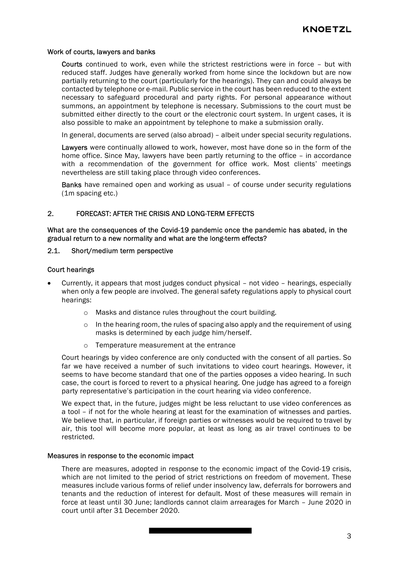#### Work of courts, lawyers and banks

Courts continued to work, even while the strictest restrictions were in force – but with reduced staff. Judges have generally worked from home since the lockdown but are now partially returning to the court (particularly for the hearings). They can and could always be contacted by telephone or e-mail. Public service in the court has been reduced to the extent necessary to safeguard procedural and party rights. For personal appearance without summons, an appointment by telephone is necessary. Submissions to the court must be submitted either directly to the court or the electronic court system. In urgent cases, it is also possible to make an appointment by telephone to make a submission orally.

In general, documents are served (also abroad) – albeit under special security regulations.

Lawyers were continually allowed to work, however, most have done so in the form of the home office. Since May, lawyers have been partly returning to the office – in accordance with a recommendation of the government for office work. Most clients' meetings nevertheless are still taking place through video conferences.

Banks have remained open and working as usual – of course under security regulations (1m spacing etc.)

#### 2. FORECAST: AFTER THE CRISIS AND LONG-TERM EFFECTS

What are the consequences of the Covid-19 pandemic once the pandemic has abated, in the gradual return to a new normality and what are the long-term effects?

#### 2.1. Short/medium term perspective

#### Court hearings

- Currently, it appears that most judges conduct physical not video hearings, especially when only a few people are involved. The general safety regulations apply to physical court hearings:
	- o Masks and distance rules throughout the court building.
	- $\circ$  In the hearing room, the rules of spacing also apply and the requirement of using masks is determined by each judge him/herself.
	- o Temperature measurement at the entrance

Court hearings by video conference are only conducted with the consent of all parties. So far we have received a number of such invitations to video court hearings. However, it seems to have become standard that one of the parties opposes a video hearing. In such case, the court is forced to revert to a physical hearing. One judge has agreed to a foreign party representative's participation in the court hearing via video conference.

We expect that, in the future, judges might be less reluctant to use video conferences as a tool – if not for the whole hearing at least for the examination of witnesses and parties. We believe that, in particular, if foreign parties or witnesses would be required to travel by air, this tool will become more popular, at least as long as air travel continues to be restricted.

#### Measures in response to the economic impact

There are measures, adopted in response to the economic impact of the Covid-19 crisis, which are not limited to the period of strict restrictions on freedom of movement. These measures include various forms of relief under insolvency law, deferrals for borrowers and tenants and the reduction of interest for default. Most of these measures will remain in force at least until 30 June; landlords cannot claim arrearages for March – June 2020 in court until after 31 December 2020.